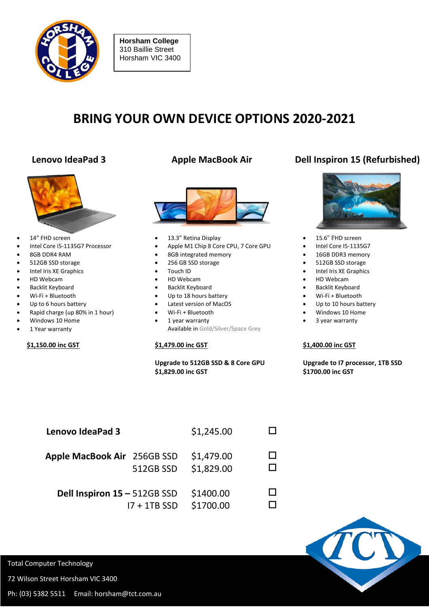

**Horsham College** 310 Baillie Street Horsham VIC 3400

# **BRING YOUR OWN DEVICE OPTIONS 2020-2021**



- 14" FHD screen
- Intel Core i5-1135G7 Processor
- 8GB DDR4 RAM
- 512GB SSD storage
- Intel Iris XE Graphics
- HD Webcam
- **•** Backlit Keyboard
- Wi-Fi + Bluetooth
- Up to 6 hours battery
- Rapid charge (up 80% in 1 hour)
- Windows 10 Home
- 1 Year warranty

### **\$1,150.00 inc GST**



- 13.3" Retina Display
- Apple M1 Chip 8 Core CPU, 7 Core GPU
- 8GB integrated memory
- 256 GB SSD storage
- Touch ID
- HD Webcam
- **•** Backlit Keyboard
- Up to 18 hours battery
- Latest version of MacOS
- Wi-Fi + Bluetooth
- 1 year warranty Available in Gold/Silver/Space Grey

### **\$1,479.00 inc GST**

#### **Upgrade to 512GB SSD & 8 Core GPU \$1,829.00 inc GST**

## **Lenovo IdeaPad 3 Apple MacBook Air Dell Inspiron 15 (Refurbished)**



- 15.6" FHD screen
- Intel Core I5-1135G7
- 16GB DDR3 memory
- 512GB SSD storage
- Intel Iris XE Graphics
- HD Webcam
- **•** Backlit Keyboard
- Wi-Fi + Bluetooth
- Up to 10 hours battery
- Windows 10 Home
- 3 year warranty

#### **\$1,400.00 inc GST**

 **Upgrade to I7 processor, 1TB SSD \$1700.00 inc GST**

| <b>Lenovo IdeaPad 3</b>                        |           | \$1,245.00               |  |
|------------------------------------------------|-----------|--------------------------|--|
| Apple MacBook Air 256GB SSD                    | 512GB SSD | \$1,479.00<br>\$1,829.00 |  |
| Dell Inspiron 15 - 512GB SSD<br>$17 + 1TB$ SSD |           | \$1400.00<br>\$1700.00   |  |



Total Computer Technology

72 Wilson Street Horsham VIC 3400

Ph: (03) 5382 5511 Email: horsham@tct.com.au